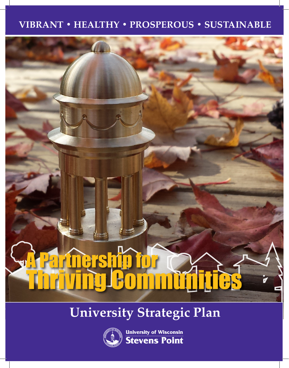## **VIBRANT • HEALTHY • PROSPEROUS • SUSTAINABLE**

# A Partnership for Thriving Communities

## **University Strategic Plan**



**University of Wisconsin<br>Stevens Point**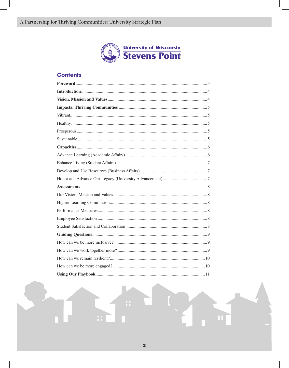

#### **Contents**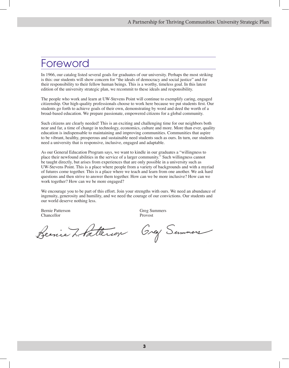## Foreword

In 1966, our catalog listed several goals for graduates of our university. Perhaps the most striking is this: our students will show concern for "the ideals of democracy and social justice" and for their responsibility to their fellow human beings. This is a worthy, timeless goal. In this latest edition of the university strategic plan, we recommit to these ideals and responsibility.

The people who work and learn at UW-Stevens Point will continue to exemplify caring, engaged citizenship. Our high-quality professionals choose to work here because we put students first. Our students go forth to achieve goals of their own, demonstrating by word and deed the worth of a broad-based education. We prepare passionate, empowered citizens for a global community.

Such citizens are clearly needed! This is an exciting and challenging time for our neighbors both near and far, a time of change in technology, economics, culture and more. More than ever, quality education is indispensable to maintaining and improving communities. Communities that aspire to be vibrant, healthy, prosperous and sustainable need students such as ours. In turn, our students need a university that is responsive, inclusive, engaged and adaptable.

As our General Education Program says, we want to kindle in our graduates a "willingness to place their newfound abilities in the service of a larger community." Such willingness cannot be taught directly, but arises from experiences that are only possible in a university such as UW-Stevens Point. This is a place where people from a variety of backgrounds and with a myriad of futures come together. This is a place where we teach and learn from one another. We ask hard questions and then strive to answer them together. How can we be more inclusive? How can we work together? How can we be more engaged?

We encourage you to be part of this effort. Join your strengths with ours. We need an abundance of ingenuity, generosity and humility, and we need the courage of our convictions. Our students and our world deserve nothing less.

Bernie Patterson Greg Summers Chancellor Provost

Beenie L'Alterier Grey Summers

**3**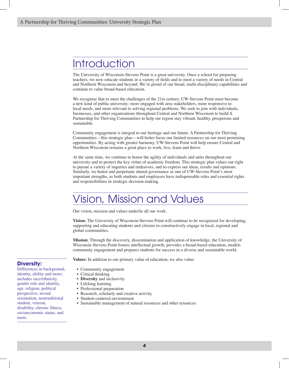## **Introduction**

The University of Wisconsin-Stevens Point is a great university. Once a school for preparing teachers, we now educate students in a variety of fields and to meet a variety of needs in Central and Northern Wisconsin and beyond. We're proud of our broad, multi-disciplinary capabilities and continue to value broad-based education.

We recognize that to meet the challenges of the 21st century, UW-Stevens Point must become a new kind of public university: more engaged with area stakeholders, more responsive to local needs, and more relevant to solving regional problems. We seek to join with individuals, businesses, and other organizations throughout Central and Northern Wisconsin to build A Partnership for Thriving Communities to help our region stay vibrant, healthy, prosperous and sustainable.

Community engagement is integral to our heritage and our future. A Partnership for Thriving Communities—this strategic plan—will better focus our limited resources on our most promising opportunities. By acting with greater harmony, UW-Stevens Point will help ensure Central and Northern Wisconsin remains a great place to work, live, learn and thrive.

At the same time, we continue to honor the agility of individuals and units throughout our university and to protect the key virtue of academic freedom. This strategic plan values our right to pursue a variety of inquiries and endeavors, and to express our ideas, results and opinions. Similarly, we honor and perpetuate shared governance as one of UW-Stevens Point's most important strengths, as both students and employees have indispensable roles and essential rights and responsibilities in strategic decision-making.

## ision, Mission and Values

Our vision, mission and values underlie all our work.

**Vision:** The University of Wisconsin-Stevens Point will continue to be recognized for developing, supporting and educating students and citizens to constructively engage in local, regional and global communities.

**Mission**: Through the discovery, dissemination and application of knowledge, the University of Wisconsin-Stevens Point fosters intellectual growth, provides a broad-based education, models community engagement and prepares students for success in a diverse and sustainable world.

**Values:** In addition to our primary value of education, we also value:

#### **Diversity:**

Differences in background, identity, ability and more; includes race/ethnicity, gender role and identity, age, religion, political perspective, sexual orientation, nontraditional student, veteran, disability, chronic illness, socioeconomic status, and more.

• Community engagement

- Critical thinking
- **Diversity** and inclusivity
- Lifelong learning
- Professional preparation
- Research, scholarly and creative activity
- Student-centered environment
- Sustainable management of natural resources and other resources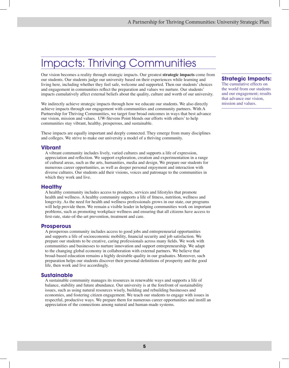## Impacts: Thriving Communities

Our vision becomes a reality through strategic impacts. Our greatest **strategic impacts** come from our students. Our students judge our university based on their experiences while learning and living here, including whether they feel safe, welcome and supported. Then our students' choices and engagement in communities reflect the preparation and values we nurture. Our students' impacts cumulatively affect external beliefs about the quality, culture and worth of our university.

We indirectly achieve strategic impacts through how we educate our students. We also directly achieve impacts through our engagement with communities and community partners. With A Partnership for Thriving Communities, we target four broad outcomes in ways that best advance our vision, mission and values. UW-Stevens Point blends our efforts with others' to help communities stay vibrant, healthy, prosperous, and sustainable.

These impacts are equally important and deeply connected. They emerge from many disciplines and colleges. We strive to make our university a model of a thriving community.

#### **Vibrant**

A vibrant community includes lively, varied cultures and supports a life of expression, appreciation and reflection. We support exploration, creation and experimentation in a range of cultural areas, such as the arts, humanities, media and design. We prepare our students for numerous career opportunities, as well as deeper personal enjoyment and interaction with diverse cultures. Our students add their visions, voices and patronage to the communities in which they work and live.

#### **Healthy**

A healthy community includes access to products, services and lifestyles that promote health and wellness. A healthy community supports a life of fitness, nutrition, wellness and longevity. As the need for health and wellness professionals grows in our state, our programs will help provide them. We remain a visible leader in helping communities work on important problems, such as promoting workplace wellness and ensuring that all citizens have access to first-rate, state-of-the-art prevention, treatment and care.

#### **Prosperous**

A prosperous community includes access to good jobs and entrepreneurial opportunities and supports a life of socioeconomic mobility, financial security and job satisfaction. We prepare our students to be creative, caring professionals across many fields. We work with communities and businesses to nurture innovation and support entrepreneurship. We adapt to the changing global economy in collaboration with external partners. We believe that broad-based education remains a highly desirable quality in our graduates. Moreover, such preparation helps our students discover their personal definitions of prosperity and the good life, then work and live accordingly.

#### **Sustainable**

A sustainable community manages its resources in renewable ways and supports a life of balance, stability and future abundance. Our university is at the forefront of sustainability issues, such as using natural resources wisely, building and rebuilding businesses and economies, and fostering citizen engagement. We teach our students to engage with issues in respectful, productive ways. We prepare them for numerous career opportunities and instill an appreciation of the connections among natural and human-made systems.

#### **Strategic Impacts:**

The cumulative effects on the world from our students and our engagement; results that advance our vision, mission and values.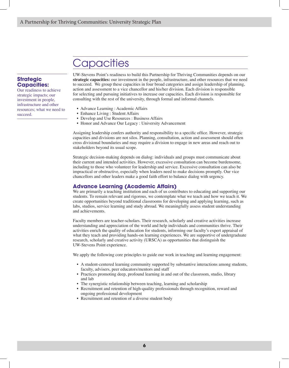## **Capacities**

#### **Strategic Capacities:**

Our readiness to achieve strategic impacts; our investment in people, infrastructure and other resources; what we need to succeed.

UW-Stevens Point's readiness to build this Partnership for Thriving Communities depends on our **strategic capacities:** our investment in the people, infrastructure, and other resources that we need to succeed. We group these capacities in four broad categories and assign leadership of planning, action and assessment to a vice chancellor and his/her division. Each division is responsible for selecting and pursuing initiatives to increase our capacities. Each division is responsible for consulting with the rest of the university, through formal and informal channels.

- Advance Learning : Academic Affairs
- Enhance Living : Student Affairs
- Develop and Use Resources : Business Affairs
- Honor and Advance Our Legacy : University Advancement

Assigning leadership confers authority and responsibility to a specific office. However, strategic capacities and divisions are not silos. Planning, consultation, action and assessment should often cross divisional boundaries and may require a division to engage in new areas and reach out to stakeholders beyond its usual scope.

Strategic decision-making depends on dialog: individuals and groups must communicate about their current and intended activities. However, excessive consultation can become burdensome, including to those who volunteer for leadership and service. Excessive consultation can also be impractical or obstructive, especially when leaders need to make decisions promptly. Our vice chancellors and other leaders make a good faith effort to balance dialog with urgency.

#### **Advance Learning (Academic Affairs)**

We are primarily a teaching institution and each of us contributes to educating and supporting our students. To remain relevant and rigorous, we contemplate what we teach and how we teach it. We create opportunities beyond traditional classrooms for developing and applying learning, such as labs, studios, service learning and study abroad. We meaningfully assess student understanding and achievements.

Faculty members are teacher-scholars. Their research, scholarly and creative activities increase understanding and appreciation of the world and help individuals and communities thrive. Their activities enrich the quality of education for students, informing our faculty's expert appraisal of what they teach and providing hands-on learning experiences. We are supportive of undergraduate research, scholarly and creative activity (URSCA) as opportunities that distinguish the UW-Stevens Point experience.

We apply the following core principles to guide our work in teaching and learning engagement:

- A student-centered learning community supported by substantive interactions among students, faculty, advisers, peer educators/mentors and staff
- Practices promoting deep, profound learning in and out of the classroom, studio, library and lab
- The synergistic relationship between teaching, learning and scholarship
- Recruitment and retention of high-quality professionals through recognition, reward and ongoing professional development
- Recruitment and retention of a diverse student body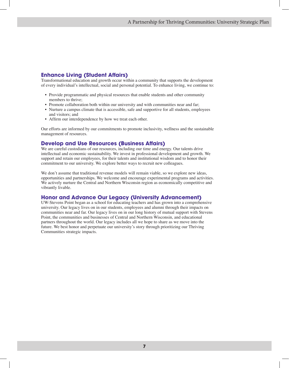#### **Enhance Living (Student Affairs)**

Transformational education and growth occur within a community that supports the development of every individual's intellectual, social and personal potential. To enhance living, we continue to:

- Provide programmatic and physical resources that enable students and other community members to thrive;
- Promote collaboration both within our university and with communities near and far;
- Nurture a campus climate that is accessible, safe and supportive for all students, employees and visitors; and
- Affirm our interdependence by how we treat each other.

Our efforts are informed by our commitments to promote inclusivity, wellness and the sustainable management of resources.

#### **Develop and Use Resources (Business Affairs)**

We are careful custodians of our resources, including our time and energy. Our talents drive intellectual and economic sustainability. We invest in professional development and growth. We support and retain our employees, for their talents and institutional wisdom and to honor their commitment to our university. We explore better ways to recruit new colleagues.

We don't assume that traditional revenue models will remain viable, so we explore new ideas, opportunities and partnerships. We welcome and encourage experimental programs and activities. We actively nurture the Central and Northern Wisconsin region as economically competitive and vibrantly livable.

#### **Honor and Advance Our Legacy (University Advancement)**

UW-Stevens Point began as a school for educating teachers and has grown into a comprehensive university. Our legacy lives on in our students, employees and alumni through their impacts on communities near and far. Our legacy lives on in our long history of mutual support with Stevens Point, the communities and businesses of Central and Northern Wisconsin, and educational partners throughout the world. Our legacy includes all we hope to share as we move into the future. We best honor and perpetuate our university's story through prioritizing our Thriving Communities strategic impacts.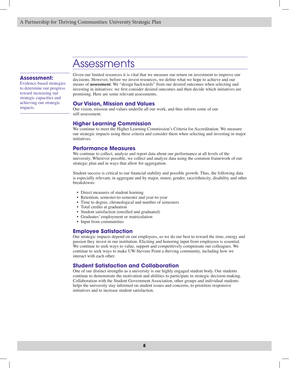### Assessments

#### **Assessment:**

Evidence-based strategies to determine our progress toward increasing our strategic capacities and achieving our strategic impacts.

Given our limited resources it is vital that we measure our return on investment to improve our decisions. However, before we invest resources, we define what we hope to achieve and our means of **assessment**. We "design backwards" from our desired outcomes when selecting and investing in initiatives: we first consider desired outcomes and then decide which initiatives are promising. Here are some relevant assessments.

#### **Our Vision, Mission and Values**

Our vision, mission and values underlie all our work, and thus inform some of our self-assessment.

#### **Higher Learning Commission**

We continue to meet the Higher Learning Commission's Criteria for Accreditation. We measure our strategic impacts using these criteria and consider them when selecting and investing in major initiatives.

#### **Performance Measures**

We continue to collect, analyze and report data about our performance at all levels of the university. Wherever possible, we collect and analyze data using the common framework of our strategic plan and in ways that allow for aggregation.

Student success is critical to our financial stability and possible growth. Thus, the following data is especially relevant, in aggregate and by major, minor, gender, race/ethnicity, disability and other breakdowns:

- Direct measures of student learning
- Retention, semester-to-semester and year-to-year
- Time to degree, chronological and number of semesters
- Total credits at graduation
- Student satisfaction (enrolled and graduated)
- Graduates' employment or matriculation
- Input from communities

#### **Employee Satisfaction**

Our strategic impacts depend on our employees, so we do our best to reward the time, energy and passion they invest in our institution. Eliciting and honoring input from employees is essential. We continue to seek ways to value, support and competitively compensate our colleagues. We continue to seek ways to make UW-Stevens Point a thriving community, including how we interact with each other.

#### **Student Satisfaction and Collaboration**

One of our distinct strengths as a university is our highly engaged student body. Our students continue to demonstrate the motivation and abilities to participate in strategic decision-making. Collaboration with the Student Government Association, other groups and individual students helps the university stay informed on student issues and concerns, to prioritize responsive initiatives and to increase student satisfaction.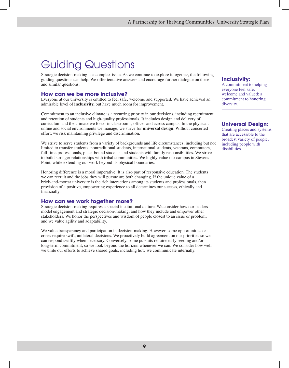## Guiding Questions

Strategic decision-making is a complex issue. As we continue to explore it together, the following guiding questions can help. We offer tentative answers and encourage further dialogue on these and similar questions.

#### **How can we be more inclusive?**

Everyone at our university is entitled to feel safe, welcome and supported. We have achieved an admirable level of **inclusivity,** but have much room for improvement.

Commitment to an inclusive climate is a recurring priority in our decisions, including recruitment and retention of students and high-quality professionals. It includes design and delivery of curriculum and the climate we foster in classrooms, offices and across campus. In the physical, online and social environments we manage, we strive for **universal design**. Without concerted effort, we risk maintaining privilege and discrimination.

We strive to serve students from a variety of backgrounds and life circumstances, including but not limited to transfer students, nontraditional students, international students, veterans, commuters, full-time professionals, place-bound students and students with family responsibilities. We strive to build stronger relationships with tribal communities. We highly value our campus in Stevens Point, while extending our work beyond its physical boundaries.

Honoring difference is a moral imperative. It is also part of responsive education. The students we can recruit and the jobs they will pursue are both changing. If the unique value of a brick-and-mortar university is the rich interactions among its students and professionals, then provision of a positive, empowering experience to all determines our success, ethically and financially.

#### **How can we work together more?**

Strategic decision-making requires a special institutional culture. We consider how our leaders model engagement and strategic decision-making, and how they include and empower other stakeholders. We honor the perspectives and wisdom of people closest to an issue or problem, and we value agility and adaptability.

We value transparency and participation in decision-making. However, some opportunities or crises require swift, unilateral decisions. We proactively build agreement on our priorities so we can respond swiftly when necessary. Conversely, some pursuits require early seeding and/or long-term commitment, so we look beyond the horizon whenever we can. We consider how well we unite our efforts to achieve shared goals, including how we communicate internally.

#### **Inclusivity:**

A commitment to helping everyone feel safe, welcome and valued; a commitment to honoring diversity.

#### **Universal Design:**

Creating places and systems that are accessible to the broadest variety of people, including people with disabilities.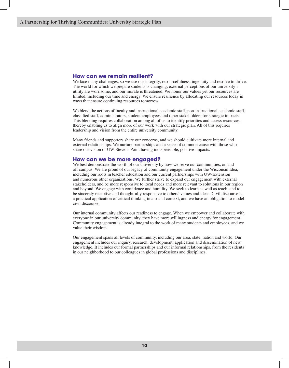#### **How can we remain resilient?**

We face many challenges, so we use our integrity, resourcefulness, ingenuity and resolve to thrive. The world for which we prepare students is changing, external perceptions of our university's utility are worrisome, and our morale is threatened. We honor our values yet our resources are limited, including our time and energy. We ensure resilience by allocating our resources today in ways that ensure continuing resources tomorrow.

We blend the actions of faculty and instructional academic staff, non-instructional academic staff, classified staff, administrators, student employees and other stakeholders for strategic impacts. This blending requires collaboration among all of us to identify priorities and access resources, thereby enabling us to align more of our work with our strategic plan. All of this requires leadership and vision from the entire university community.

Many friends and supporters share our concerns, and we should cultivate more internal and external relationships. We nurture partnerships and a sense of common cause with those who share our vision of UW-Stevens Point having indispensable, positive impacts.

#### **How can we be more engaged?**

We best demonstrate the worth of our university by how we serve our communities, on and off campus. We are proud of our legacy of community engagement under the Wisconsin Idea, including our roots in teacher education and our current partnerships with UW-Extension and numerous other organizations. We further strive to expand our engagement with external stakeholders, and be more responsive to local needs and more relevant to solutions in our region and beyond. We engage with confidence and humility. We seek to learn as well as teach, and to be sincerely receptive and thoughtfully responsive to others' values and ideas. Civil discourse is a practical application of critical thinking in a social context, and we have an obligation to model civil discourse.

Our internal community affects our readiness to engage. When we empower and collaborate with everyone in our university community, they have more willingness and energy for engagement. Community engagement is already integral to the work of many students and employees, and we value their wisdom.

Our engagement spans all levels of community, including our area, state, nation and world. Our engagement includes our inquiry, research, development, application and dissemination of new knowledge. It includes our formal partnerships and our informal relationships, from the residents in our neighborhood to our colleagues in global professions and disciplines.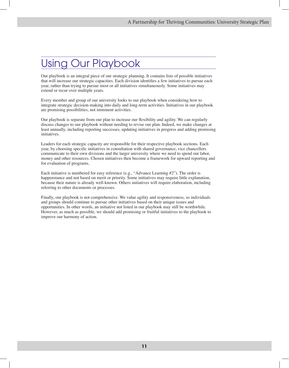## Using Our Playbook

Our playbook is an integral piece of our strategic planning. It contains lists of possible initiatives that will increase our strategic capacities. Each division identifies a few initiatives to pursue each year, rather than trying to pursue most or all initiatives simultaneously. Some initiatives may extend or recur over multiple years.

Every member and group of our university looks to our playbook when considering how to integrate strategic decision-making into daily and long-term activities. Initiatives in our playbook are promising possibilities, not imminent activities.

Our playbook is separate from our plan to increase our flexibility and agility. We can regularly discuss changes to our playbook without needing to revise our plan. Indeed, we make changes at least annually, including reporting successes, updating initiatives in progress and adding promising initiatives.

Leaders for each strategic capacity are responsible for their respective playbook sections. Each year, by choosing specific initiatives in consultation with shared governance, vice chancellors communicate to their own divisions and the larger university where we need to spend our labor, money and other resources. Chosen initiatives then become a framework for upward reporting and for evaluation of programs.

Each initiative is numbered for easy reference (e.g., "Advance Learning #2"). The order is happenstance and not based on merit or priority. Some initiatives may require little explanation, because their nature is already well-known. Others initiatives will require elaboration, including referring to other documents or processes.

Finally, our playbook is not comprehensive. We value agility and responsiveness, so individuals and groups should continue to pursue other initiatives based on their unique issues and opportunities. In other words, an initiative not listed in our playbook may still be worthwhile. However, as much as possible, we should add promising or fruitful initiatives to the playbook to improve our harmony of action.